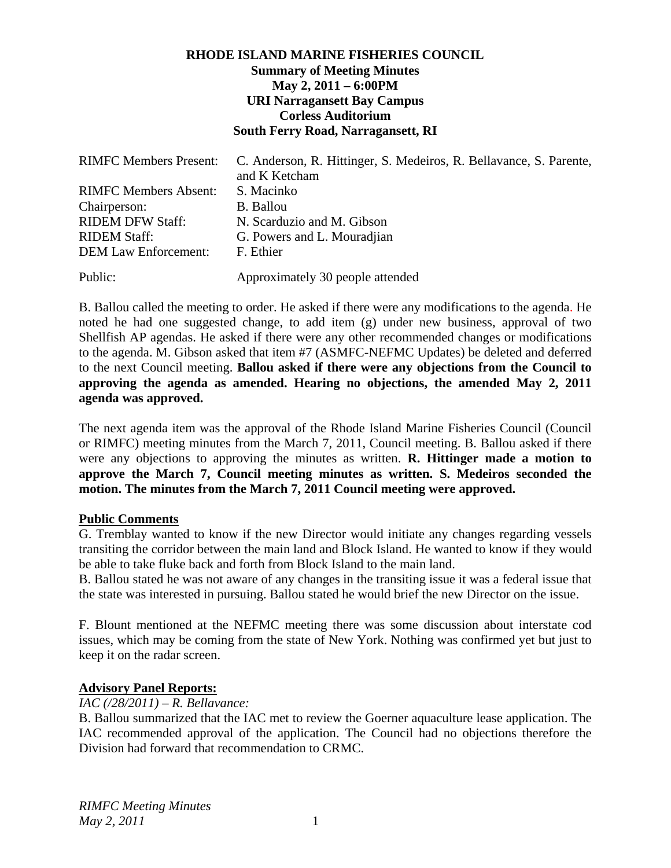# **RHODE ISLAND MARINE FISHERIES COUNCIL Summary of Meeting Minutes May 2, 2011 – 6:00PM URI Narragansett Bay Campus Corless Auditorium South Ferry Road, Narragansett, RI**

| <b>RIMFC Members Present:</b> | C. Anderson, R. Hittinger, S. Medeiros, R. Bellavance, S. Parente,<br>and K Ketcham |
|-------------------------------|-------------------------------------------------------------------------------------|
| <b>RIMFC Members Absent:</b>  | S. Macinko                                                                          |
| Chairperson:                  | <b>B.</b> Ballou                                                                    |
| <b>RIDEM DFW Staff:</b>       | N. Scarduzio and M. Gibson                                                          |
| <b>RIDEM Staff:</b>           | G. Powers and L. Mouradjian                                                         |
| <b>DEM Law Enforcement:</b>   | F. Ethier                                                                           |
| Public:                       | Approximately 30 people attended                                                    |

B. Ballou called the meeting to order. He asked if there were any modifications to the agenda. He noted he had one suggested change, to add item (g) under new business, approval of two Shellfish AP agendas. He asked if there were any other recommended changes or modifications to the agenda. M. Gibson asked that item #7 (ASMFC-NEFMC Updates) be deleted and deferred to the next Council meeting. **Ballou asked if there were any objections from the Council to approving the agenda as amended. Hearing no objections, the amended May 2, 2011 agenda was approved.**

The next agenda item was the approval of the Rhode Island Marine Fisheries Council (Council or RIMFC) meeting minutes from the March 7, 2011, Council meeting. B. Ballou asked if there were any objections to approving the minutes as written. **R. Hittinger made a motion to approve the March 7, Council meeting minutes as written. S. Medeiros seconded the motion. The minutes from the March 7, 2011 Council meeting were approved.**

#### **Public Comments**

G. Tremblay wanted to know if the new Director would initiate any changes regarding vessels transiting the corridor between the main land and Block Island. He wanted to know if they would be able to take fluke back and forth from Block Island to the main land.

B. Ballou stated he was not aware of any changes in the transiting issue it was a federal issue that the state was interested in pursuing. Ballou stated he would brief the new Director on the issue.

F. Blount mentioned at the NEFMC meeting there was some discussion about interstate cod issues, which may be coming from the state of New York. Nothing was confirmed yet but just to keep it on the radar screen.

# **Advisory Panel Reports:**

*IAC (/28/2011) – R. Bellavance:* 

B. Ballou summarized that the IAC met to review the Goerner aquaculture lease application. The IAC recommended approval of the application. The Council had no objections therefore the Division had forward that recommendation to CRMC.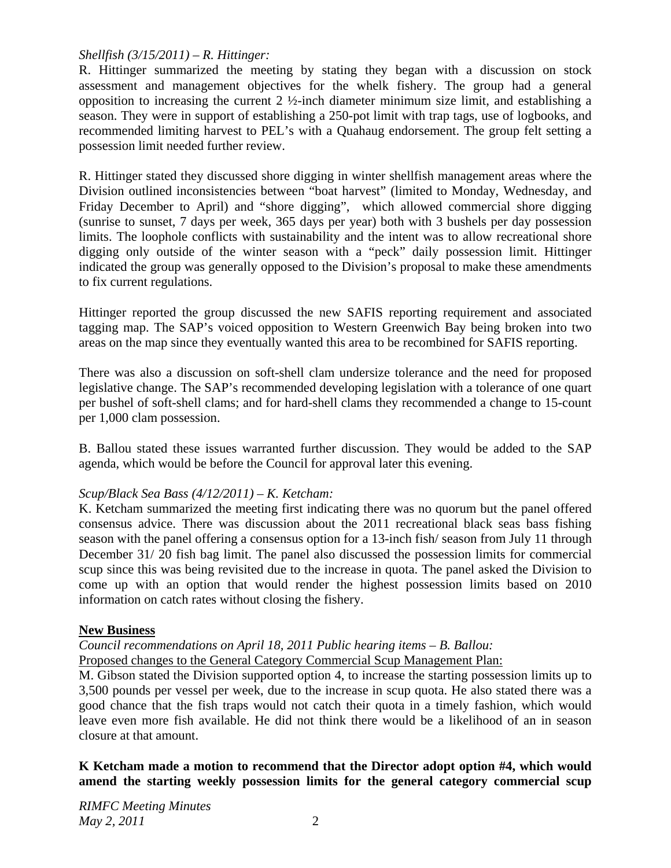# *Shellfish (3/15/2011) – R. Hittinger:*

R. Hittinger summarized the meeting by stating they began with a discussion on stock assessment and management objectives for the whelk fishery. The group had a general opposition to increasing the current 2 ½-inch diameter minimum size limit, and establishing a season. They were in support of establishing a 250-pot limit with trap tags, use of logbooks, and recommended limiting harvest to PEL's with a Quahaug endorsement. The group felt setting a possession limit needed further review.

R. Hittinger stated they discussed shore digging in winter shellfish management areas where the Division outlined inconsistencies between "boat harvest" (limited to Monday, Wednesday, and Friday December to April) and "shore digging", which allowed commercial shore digging (sunrise to sunset, 7 days per week, 365 days per year) both with 3 bushels per day possession limits. The loophole conflicts with sustainability and the intent was to allow recreational shore digging only outside of the winter season with a "peck" daily possession limit. Hittinger indicated the group was generally opposed to the Division's proposal to make these amendments to fix current regulations.

Hittinger reported the group discussed the new SAFIS reporting requirement and associated tagging map. The SAP's voiced opposition to Western Greenwich Bay being broken into two areas on the map since they eventually wanted this area to be recombined for SAFIS reporting.

There was also a discussion on soft-shell clam undersize tolerance and the need for proposed legislative change. The SAP's recommended developing legislation with a tolerance of one quart per bushel of soft-shell clams; and for hard-shell clams they recommended a change to 15-count per 1,000 clam possession.

B. Ballou stated these issues warranted further discussion. They would be added to the SAP agenda, which would be before the Council for approval later this evening.

# *Scup/Black Sea Bass (4/12/2011) – K. Ketcham:*

K. Ketcham summarized the meeting first indicating there was no quorum but the panel offered consensus advice. There was discussion about the 2011 recreational black seas bass fishing season with the panel offering a consensus option for a 13-inch fish/ season from July 11 through December 31/ 20 fish bag limit. The panel also discussed the possession limits for commercial scup since this was being revisited due to the increase in quota. The panel asked the Division to come up with an option that would render the highest possession limits based on 2010 information on catch rates without closing the fishery.

# **New Business**

## *Council recommendations on April 18, 2011 Public hearing items – B. Ballou:* Proposed changes to the General Category Commercial Scup Management Plan:

M. Gibson stated the Division supported option 4, to increase the starting possession limits up to 3,500 pounds per vessel per week, due to the increase in scup quota. He also stated there was a good chance that the fish traps would not catch their quota in a timely fashion, which would leave even more fish available. He did not think there would be a likelihood of an in season closure at that amount.

**K Ketcham made a motion to recommend that the Director adopt option #4, which would amend the starting weekly possession limits for the general category commercial scup**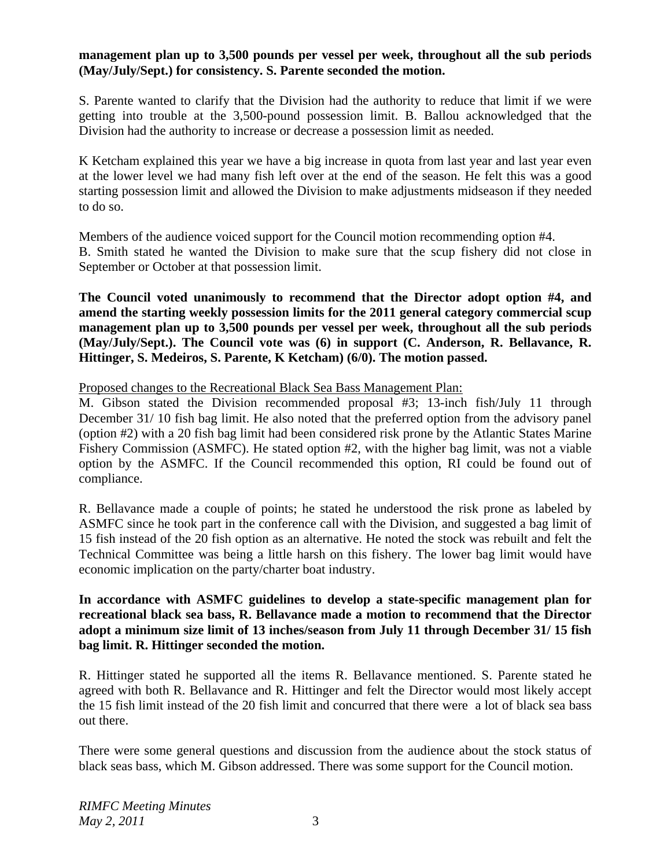## **management plan up to 3,500 pounds per vessel per week, throughout all the sub periods (May/July/Sept.) for consistency. S. Parente seconded the motion.**

S. Parente wanted to clarify that the Division had the authority to reduce that limit if we were getting into trouble at the 3,500-pound possession limit. B. Ballou acknowledged that the Division had the authority to increase or decrease a possession limit as needed.

K Ketcham explained this year we have a big increase in quota from last year and last year even at the lower level we had many fish left over at the end of the season. He felt this was a good starting possession limit and allowed the Division to make adjustments midseason if they needed to do so.

Members of the audience voiced support for the Council motion recommending option #4. B. Smith stated he wanted the Division to make sure that the scup fishery did not close in September or October at that possession limit.

**The Council voted unanimously to recommend that the Director adopt option #4, and amend the starting weekly possession limits for the 2011 general category commercial scup management plan up to 3,500 pounds per vessel per week, throughout all the sub periods (May/July/Sept.). The Council vote was (6) in support (C. Anderson, R. Bellavance, R. Hittinger, S. Medeiros, S. Parente, K Ketcham) (6/0). The motion passed.**

#### Proposed changes to the Recreational Black Sea Bass Management Plan:

M. Gibson stated the Division recommended proposal #3; 13-inch fish/July 11 through December 31/ 10 fish bag limit. He also noted that the preferred option from the advisory panel (option #2) with a 20 fish bag limit had been considered risk prone by the Atlantic States Marine Fishery Commission (ASMFC). He stated option #2, with the higher bag limit, was not a viable option by the ASMFC. If the Council recommended this option, RI could be found out of compliance.

R. Bellavance made a couple of points; he stated he understood the risk prone as labeled by ASMFC since he took part in the conference call with the Division, and suggested a bag limit of 15 fish instead of the 20 fish option as an alternative. He noted the stock was rebuilt and felt the Technical Committee was being a little harsh on this fishery. The lower bag limit would have economic implication on the party/charter boat industry.

## **In accordance with ASMFC guidelines to develop a state-specific management plan for recreational black sea bass, R. Bellavance made a motion to recommend that the Director adopt a minimum size limit of 13 inches/season from July 11 through December 31/ 15 fish bag limit. R. Hittinger seconded the motion.**

R. Hittinger stated he supported all the items R. Bellavance mentioned. S. Parente stated he agreed with both R. Bellavance and R. Hittinger and felt the Director would most likely accept the 15 fish limit instead of the 20 fish limit and concurred that there were a lot of black sea bass out there.

There were some general questions and discussion from the audience about the stock status of black seas bass, which M. Gibson addressed. There was some support for the Council motion.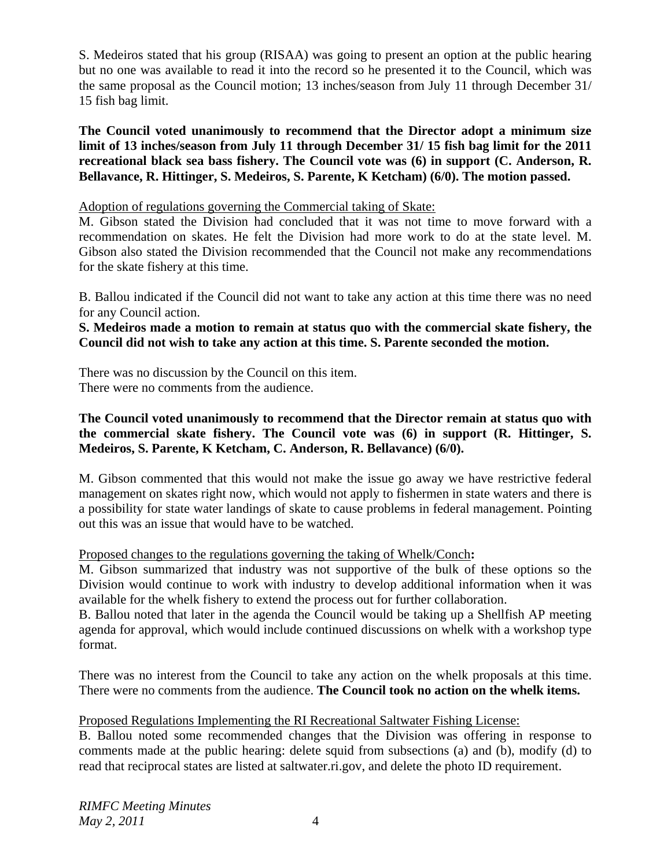S. Medeiros stated that his group (RISAA) was going to present an option at the public hearing but no one was available to read it into the record so he presented it to the Council, which was the same proposal as the Council motion; 13 inches/season from July 11 through December 31/ 15 fish bag limit.

**The Council voted unanimously to recommend that the Director adopt a minimum size limit of 13 inches/season from July 11 through December 31/ 15 fish bag limit for the 2011 recreational black sea bass fishery. The Council vote was (6) in support (C. Anderson, R. Bellavance, R. Hittinger, S. Medeiros, S. Parente, K Ketcham) (6/0). The motion passed.**

Adoption of regulations governing the Commercial taking of Skate:

M. Gibson stated the Division had concluded that it was not time to move forward with a recommendation on skates. He felt the Division had more work to do at the state level. M. Gibson also stated the Division recommended that the Council not make any recommendations for the skate fishery at this time.

B. Ballou indicated if the Council did not want to take any action at this time there was no need for any Council action.

**S. Medeiros made a motion to remain at status quo with the commercial skate fishery, the Council did not wish to take any action at this time. S. Parente seconded the motion.** 

There was no discussion by the Council on this item. There were no comments from the audience.

# **The Council voted unanimously to recommend that the Director remain at status quo with the commercial skate fishery. The Council vote was (6) in support (R. Hittinger, S. Medeiros, S. Parente, K Ketcham, C. Anderson, R. Bellavance) (6/0).**

M. Gibson commented that this would not make the issue go away we have restrictive federal management on skates right now, which would not apply to fishermen in state waters and there is a possibility for state water landings of skate to cause problems in federal management. Pointing out this was an issue that would have to be watched.

# Proposed changes to the regulations governing the taking of Whelk/Conch**:**

M. Gibson summarized that industry was not supportive of the bulk of these options so the Division would continue to work with industry to develop additional information when it was available for the whelk fishery to extend the process out for further collaboration.

B. Ballou noted that later in the agenda the Council would be taking up a Shellfish AP meeting agenda for approval, which would include continued discussions on whelk with a workshop type format.

There was no interest from the Council to take any action on the whelk proposals at this time. There were no comments from the audience. **The Council took no action on the whelk items.** 

Proposed Regulations Implementing the RI Recreational Saltwater Fishing License:

B. Ballou noted some recommended changes that the Division was offering in response to comments made at the public hearing: delete squid from subsections (a) and (b), modify (d) to read that reciprocal states are listed at saltwater.ri.gov, and delete the photo ID requirement.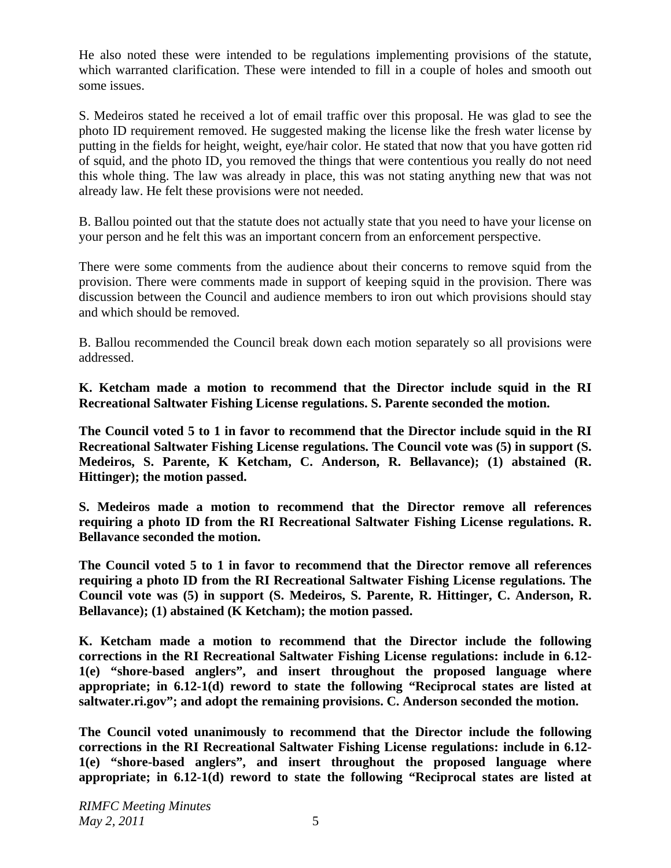He also noted these were intended to be regulations implementing provisions of the statute, which warranted clarification. These were intended to fill in a couple of holes and smooth out some issues.

S. Medeiros stated he received a lot of email traffic over this proposal. He was glad to see the photo ID requirement removed. He suggested making the license like the fresh water license by putting in the fields for height, weight, eye/hair color. He stated that now that you have gotten rid of squid, and the photo ID, you removed the things that were contentious you really do not need this whole thing. The law was already in place, this was not stating anything new that was not already law. He felt these provisions were not needed.

B. Ballou pointed out that the statute does not actually state that you need to have your license on your person and he felt this was an important concern from an enforcement perspective.

There were some comments from the audience about their concerns to remove squid from the provision. There were comments made in support of keeping squid in the provision. There was discussion between the Council and audience members to iron out which provisions should stay and which should be removed.

B. Ballou recommended the Council break down each motion separately so all provisions were addressed.

**K. Ketcham made a motion to recommend that the Director include squid in the RI Recreational Saltwater Fishing License regulations. S. Parente seconded the motion.** 

**The Council voted 5 to 1 in favor to recommend that the Director include squid in the RI Recreational Saltwater Fishing License regulations. The Council vote was (5) in support (S. Medeiros, S. Parente, K Ketcham, C. Anderson, R. Bellavance); (1) abstained (R. Hittinger); the motion passed.** 

**S. Medeiros made a motion to recommend that the Director remove all references requiring a photo ID from the RI Recreational Saltwater Fishing License regulations. R. Bellavance seconded the motion.** 

**The Council voted 5 to 1 in favor to recommend that the Director remove all references requiring a photo ID from the RI Recreational Saltwater Fishing License regulations. The Council vote was (5) in support (S. Medeiros, S. Parente, R. Hittinger, C. Anderson, R. Bellavance); (1) abstained (K Ketcham); the motion passed.** 

**K. Ketcham made a motion to recommend that the Director include the following corrections in the RI Recreational Saltwater Fishing License regulations: include in 6.12- 1(e) "shore-based anglers", and insert throughout the proposed language where appropriate; in 6.12-1(d) reword to state the following "Reciprocal states are listed at saltwater.ri.gov"; and adopt the remaining provisions. C. Anderson seconded the motion.** 

**The Council voted unanimously to recommend that the Director include the following corrections in the RI Recreational Saltwater Fishing License regulations: include in 6.12- 1(e) "shore-based anglers", and insert throughout the proposed language where appropriate; in 6.12-1(d) reword to state the following "Reciprocal states are listed at**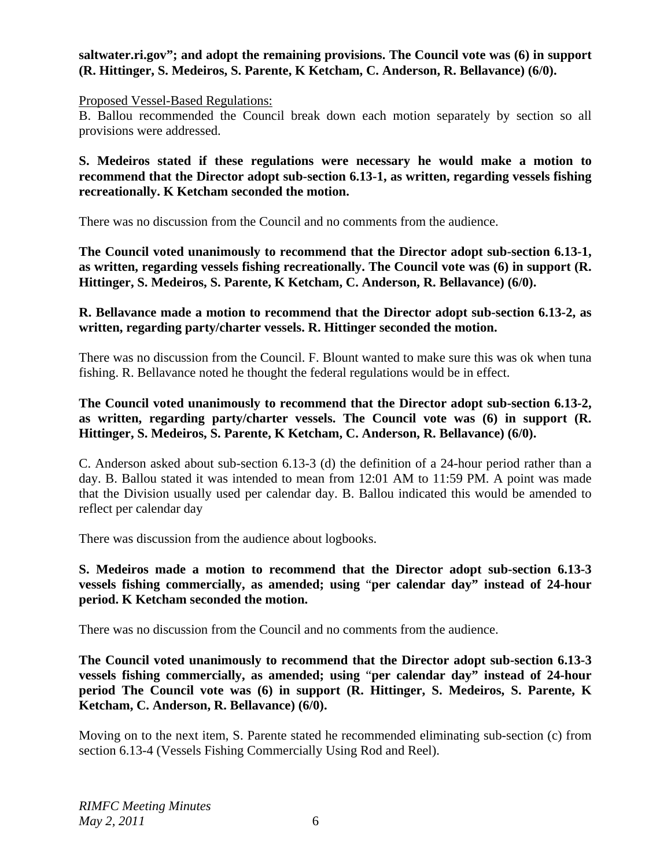## **saltwater.ri.gov"; and adopt the remaining provisions. The Council vote was (6) in support (R. Hittinger, S. Medeiros, S. Parente, K Ketcham, C. Anderson, R. Bellavance) (6/0).**

#### Proposed Vessel-Based Regulations:

B. Ballou recommended the Council break down each motion separately by section so all provisions were addressed.

**S. Medeiros stated if these regulations were necessary he would make a motion to recommend that the Director adopt sub-section 6.13-1, as written, regarding vessels fishing recreationally. K Ketcham seconded the motion.** 

There was no discussion from the Council and no comments from the audience.

**The Council voted unanimously to recommend that the Director adopt sub-section 6.13-1, as written, regarding vessels fishing recreationally. The Council vote was (6) in support (R. Hittinger, S. Medeiros, S. Parente, K Ketcham, C. Anderson, R. Bellavance) (6/0).** 

### **R. Bellavance made a motion to recommend that the Director adopt sub-section 6.13-2, as written, regarding party/charter vessels. R. Hittinger seconded the motion.**

There was no discussion from the Council. F. Blount wanted to make sure this was ok when tuna fishing. R. Bellavance noted he thought the federal regulations would be in effect.

### **The Council voted unanimously to recommend that the Director adopt sub-section 6.13-2, as written, regarding party/charter vessels. The Council vote was (6) in support (R. Hittinger, S. Medeiros, S. Parente, K Ketcham, C. Anderson, R. Bellavance) (6/0).**

C. Anderson asked about sub-section 6.13-3 (d) the definition of a 24-hour period rather than a day. B. Ballou stated it was intended to mean from 12:01 AM to 11:59 PM. A point was made that the Division usually used per calendar day. B. Ballou indicated this would be amended to reflect per calendar day

There was discussion from the audience about logbooks.

### **S. Medeiros made a motion to recommend that the Director adopt sub-section 6.13-3 vessels fishing commercially, as amended; using** "**per calendar day" instead of 24-hour period. K Ketcham seconded the motion.**

There was no discussion from the Council and no comments from the audience.

**The Council voted unanimously to recommend that the Director adopt sub-section 6.13-3 vessels fishing commercially, as amended; using** "**per calendar day" instead of 24-hour period The Council vote was (6) in support (R. Hittinger, S. Medeiros, S. Parente, K Ketcham, C. Anderson, R. Bellavance) (6/0).** 

Moving on to the next item, S. Parente stated he recommended eliminating sub-section (c) from section 6.13-4 (Vessels Fishing Commercially Using Rod and Reel).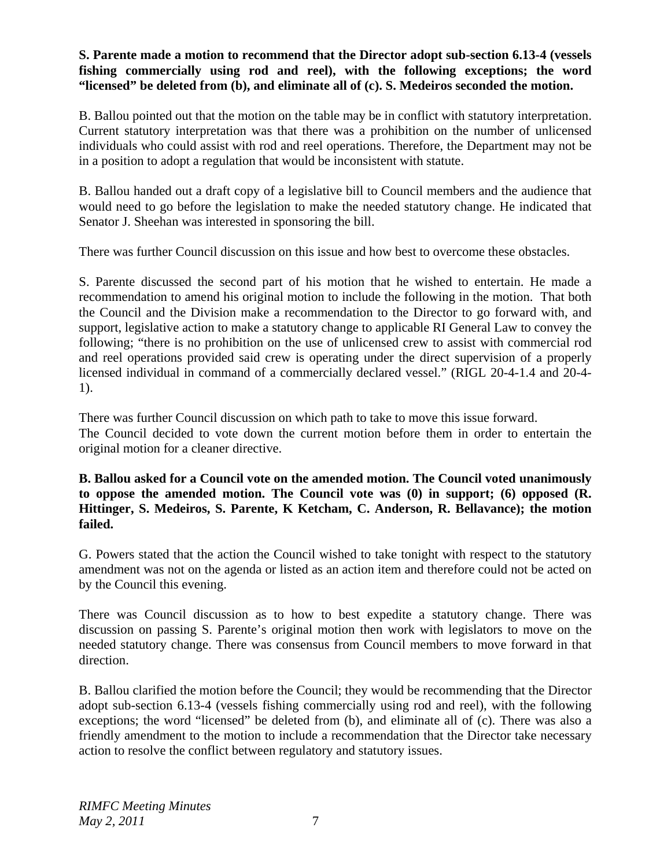## **S. Parente made a motion to recommend that the Director adopt sub-section 6.13-4 (vessels fishing commercially using rod and reel), with the following exceptions; the word "licensed" be deleted from (b), and eliminate all of (c). S. Medeiros seconded the motion.**

B. Ballou pointed out that the motion on the table may be in conflict with statutory interpretation. Current statutory interpretation was that there was a prohibition on the number of unlicensed individuals who could assist with rod and reel operations. Therefore, the Department may not be in a position to adopt a regulation that would be inconsistent with statute.

B. Ballou handed out a draft copy of a legislative bill to Council members and the audience that would need to go before the legislation to make the needed statutory change. He indicated that Senator J. Sheehan was interested in sponsoring the bill.

There was further Council discussion on this issue and how best to overcome these obstacles.

S. Parente discussed the second part of his motion that he wished to entertain. He made a recommendation to amend his original motion to include the following in the motion. That both the Council and the Division make a recommendation to the Director to go forward with, and support, legislative action to make a statutory change to applicable RI General Law to convey the following; "there is no prohibition on the use of unlicensed crew to assist with commercial rod and reel operations provided said crew is operating under the direct supervision of a properly licensed individual in command of a commercially declared vessel." (RIGL 20-4-1.4 and 20-4- 1).

There was further Council discussion on which path to take to move this issue forward. The Council decided to vote down the current motion before them in order to entertain the original motion for a cleaner directive.

**B. Ballou asked for a Council vote on the amended motion. The Council voted unanimously to oppose the amended motion. The Council vote was (0) in support; (6) opposed (R. Hittinger, S. Medeiros, S. Parente, K Ketcham, C. Anderson, R. Bellavance); the motion failed.** 

G. Powers stated that the action the Council wished to take tonight with respect to the statutory amendment was not on the agenda or listed as an action item and therefore could not be acted on by the Council this evening.

There was Council discussion as to how to best expedite a statutory change. There was discussion on passing S. Parente's original motion then work with legislators to move on the needed statutory change. There was consensus from Council members to move forward in that direction.

B. Ballou clarified the motion before the Council; they would be recommending that the Director adopt sub-section 6.13-4 (vessels fishing commercially using rod and reel), with the following exceptions; the word "licensed" be deleted from (b), and eliminate all of (c). There was also a friendly amendment to the motion to include a recommendation that the Director take necessary action to resolve the conflict between regulatory and statutory issues.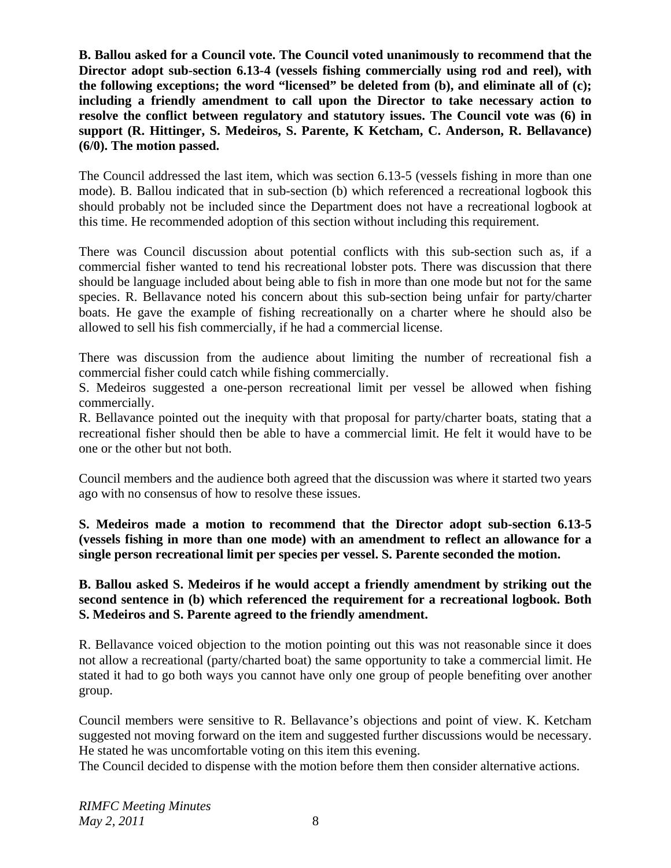**B. Ballou asked for a Council vote. The Council voted unanimously to recommend that the Director adopt sub-section 6.13-4 (vessels fishing commercially using rod and reel), with the following exceptions; the word "licensed" be deleted from (b), and eliminate all of (c); including a friendly amendment to call upon the Director to take necessary action to resolve the conflict between regulatory and statutory issues. The Council vote was (6) in support (R. Hittinger, S. Medeiros, S. Parente, K Ketcham, C. Anderson, R. Bellavance) (6/0). The motion passed.** 

The Council addressed the last item, which was section 6.13-5 (vessels fishing in more than one mode). B. Ballou indicated that in sub-section (b) which referenced a recreational logbook this should probably not be included since the Department does not have a recreational logbook at this time. He recommended adoption of this section without including this requirement.

There was Council discussion about potential conflicts with this sub-section such as, if a commercial fisher wanted to tend his recreational lobster pots. There was discussion that there should be language included about being able to fish in more than one mode but not for the same species. R. Bellavance noted his concern about this sub-section being unfair for party/charter boats. He gave the example of fishing recreationally on a charter where he should also be allowed to sell his fish commercially, if he had a commercial license.

There was discussion from the audience about limiting the number of recreational fish a commercial fisher could catch while fishing commercially.

S. Medeiros suggested a one-person recreational limit per vessel be allowed when fishing commercially.

R. Bellavance pointed out the inequity with that proposal for party/charter boats, stating that a recreational fisher should then be able to have a commercial limit. He felt it would have to be one or the other but not both.

Council members and the audience both agreed that the discussion was where it started two years ago with no consensus of how to resolve these issues.

**S. Medeiros made a motion to recommend that the Director adopt sub-section 6.13-5 (vessels fishing in more than one mode) with an amendment to reflect an allowance for a single person recreational limit per species per vessel. S. Parente seconded the motion.** 

**B. Ballou asked S. Medeiros if he would accept a friendly amendment by striking out the second sentence in (b) which referenced the requirement for a recreational logbook. Both S. Medeiros and S. Parente agreed to the friendly amendment.** 

R. Bellavance voiced objection to the motion pointing out this was not reasonable since it does not allow a recreational (party/charted boat) the same opportunity to take a commercial limit. He stated it had to go both ways you cannot have only one group of people benefiting over another group.

Council members were sensitive to R. Bellavance's objections and point of view. K. Ketcham suggested not moving forward on the item and suggested further discussions would be necessary. He stated he was uncomfortable voting on this item this evening.

The Council decided to dispense with the motion before them then consider alternative actions.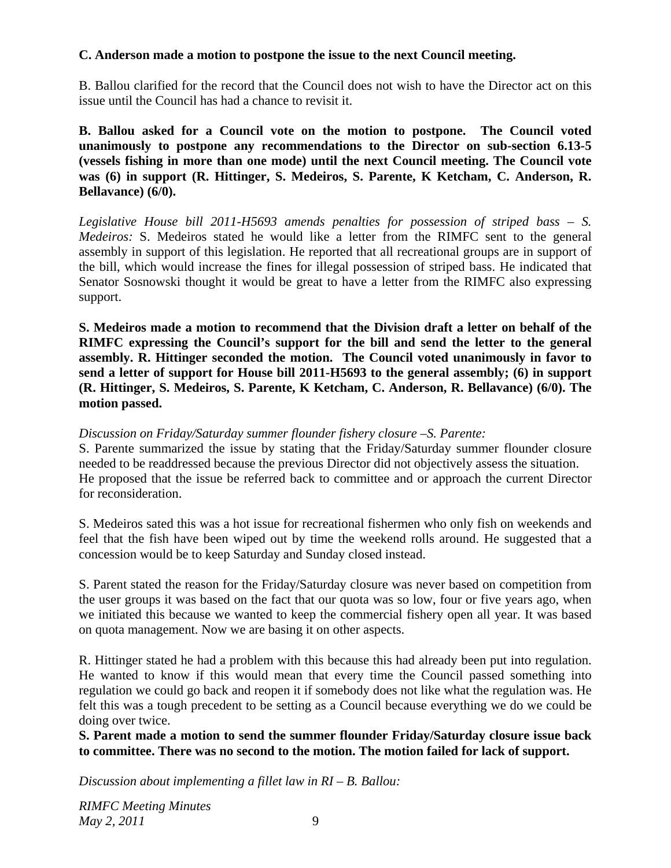# **C. Anderson made a motion to postpone the issue to the next Council meeting.**

B. Ballou clarified for the record that the Council does not wish to have the Director act on this issue until the Council has had a chance to revisit it.

**B. Ballou asked for a Council vote on the motion to postpone. The Council voted unanimously to postpone any recommendations to the Director on sub-section 6.13-5 (vessels fishing in more than one mode) until the next Council meeting. The Council vote was (6) in support (R. Hittinger, S. Medeiros, S. Parente, K Ketcham, C. Anderson, R. Bellavance) (6/0).** 

*Legislative House bill 2011-H5693 amends penalties for possession of striped bass – S. Medeiros:* S. Medeiros stated he would like a letter from the RIMFC sent to the general assembly in support of this legislation. He reported that all recreational groups are in support of the bill, which would increase the fines for illegal possession of striped bass. He indicated that Senator Sosnowski thought it would be great to have a letter from the RIMFC also expressing support.

**S. Medeiros made a motion to recommend that the Division draft a letter on behalf of the RIMFC expressing the Council's support for the bill and send the letter to the general assembly. R. Hittinger seconded the motion. The Council voted unanimously in favor to send a letter of support for House bill 2011-H5693 to the general assembly; (6) in support (R. Hittinger, S. Medeiros, S. Parente, K Ketcham, C. Anderson, R. Bellavance) (6/0). The motion passed.** 

## *Discussion on Friday/Saturday summer flounder fishery closure –S. Parente:*

S. Parente summarized the issue by stating that the Friday/Saturday summer flounder closure needed to be readdressed because the previous Director did not objectively assess the situation. He proposed that the issue be referred back to committee and or approach the current Director for reconsideration.

S. Medeiros sated this was a hot issue for recreational fishermen who only fish on weekends and feel that the fish have been wiped out by time the weekend rolls around. He suggested that a concession would be to keep Saturday and Sunday closed instead.

S. Parent stated the reason for the Friday/Saturday closure was never based on competition from the user groups it was based on the fact that our quota was so low, four or five years ago, when we initiated this because we wanted to keep the commercial fishery open all year. It was based on quota management. Now we are basing it on other aspects.

R. Hittinger stated he had a problem with this because this had already been put into regulation. He wanted to know if this would mean that every time the Council passed something into regulation we could go back and reopen it if somebody does not like what the regulation was. He felt this was a tough precedent to be setting as a Council because everything we do we could be doing over twice.

**S. Parent made a motion to send the summer flounder Friday/Saturday closure issue back to committee. There was no second to the motion. The motion failed for lack of support.** 

*Discussion about implementing a fillet law in RI – B. Ballou:*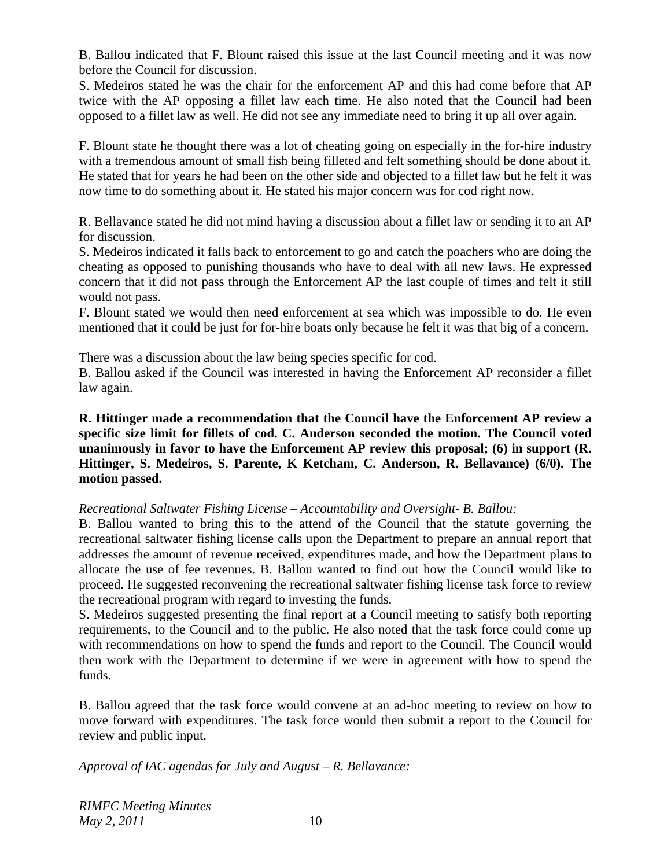B. Ballou indicated that F. Blount raised this issue at the last Council meeting and it was now before the Council for discussion.

S. Medeiros stated he was the chair for the enforcement AP and this had come before that AP twice with the AP opposing a fillet law each time. He also noted that the Council had been opposed to a fillet law as well. He did not see any immediate need to bring it up all over again.

F. Blount state he thought there was a lot of cheating going on especially in the for-hire industry with a tremendous amount of small fish being filleted and felt something should be done about it. He stated that for years he had been on the other side and objected to a fillet law but he felt it was now time to do something about it. He stated his major concern was for cod right now.

R. Bellavance stated he did not mind having a discussion about a fillet law or sending it to an AP for discussion.

S. Medeiros indicated it falls back to enforcement to go and catch the poachers who are doing the cheating as opposed to punishing thousands who have to deal with all new laws. He expressed concern that it did not pass through the Enforcement AP the last couple of times and felt it still would not pass.

F. Blount stated we would then need enforcement at sea which was impossible to do. He even mentioned that it could be just for for-hire boats only because he felt it was that big of a concern.

There was a discussion about the law being species specific for cod.

B. Ballou asked if the Council was interested in having the Enforcement AP reconsider a fillet law again.

**R. Hittinger made a recommendation that the Council have the Enforcement AP review a specific size limit for fillets of cod. C. Anderson seconded the motion. The Council voted unanimously in favor to have the Enforcement AP review this proposal; (6) in support (R. Hittinger, S. Medeiros, S. Parente, K Ketcham, C. Anderson, R. Bellavance) (6/0). The motion passed.** 

# *Recreational Saltwater Fishing License – Accountability and Oversight- B. Ballou:*

B. Ballou wanted to bring this to the attend of the Council that the statute governing the recreational saltwater fishing license calls upon the Department to prepare an annual report that addresses the amount of revenue received, expenditures made, and how the Department plans to allocate the use of fee revenues. B. Ballou wanted to find out how the Council would like to proceed. He suggested reconvening the recreational saltwater fishing license task force to review the recreational program with regard to investing the funds.

S. Medeiros suggested presenting the final report at a Council meeting to satisfy both reporting requirements, to the Council and to the public. He also noted that the task force could come up with recommendations on how to spend the funds and report to the Council. The Council would then work with the Department to determine if we were in agreement with how to spend the funds.

B. Ballou agreed that the task force would convene at an ad-hoc meeting to review on how to move forward with expenditures. The task force would then submit a report to the Council for review and public input.

*Approval of IAC agendas for July and August – R. Bellavance:*